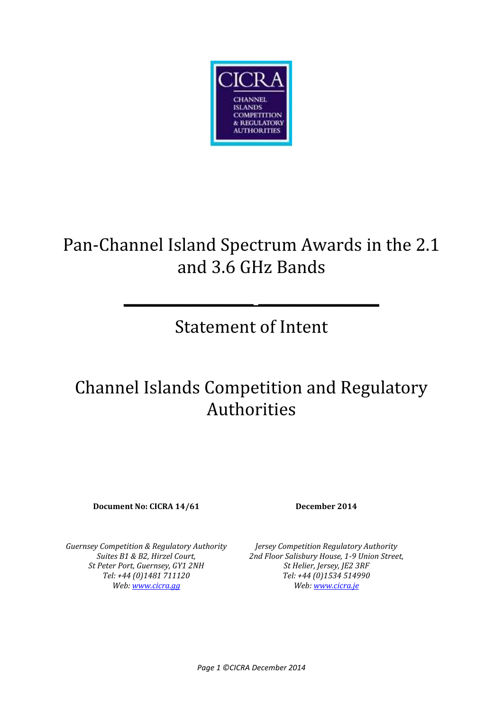

# Pan-Channel Island Spectrum Awards in the 2.1 and 3.6 GHz Bands

# Statement of Intent

**\_\_\_\_\_\_\_\_\_\_\_\_\_\_ \_\_\_\_\_\_\_\_\_\_\_\_\_**

# Channel Islands Competition and Regulatory Authorities

**Document No: CICRA 14/61 December 2014**

*Guernsey Competition & Regulatory Authority Suites B1 & B2, Hirzel Court, St Peter Port, Guernsey, GY1 2NH Tel: +44 (0)1481 711120 Web: www.cicra.gg*

*Jersey Competition Regulatory Authority 2nd Floor Salisbury House, 1-9 Union Street, St Helier, Jersey, JE2 3RF Tel: +44 (0)1534 514990 Web: www.cicra.je*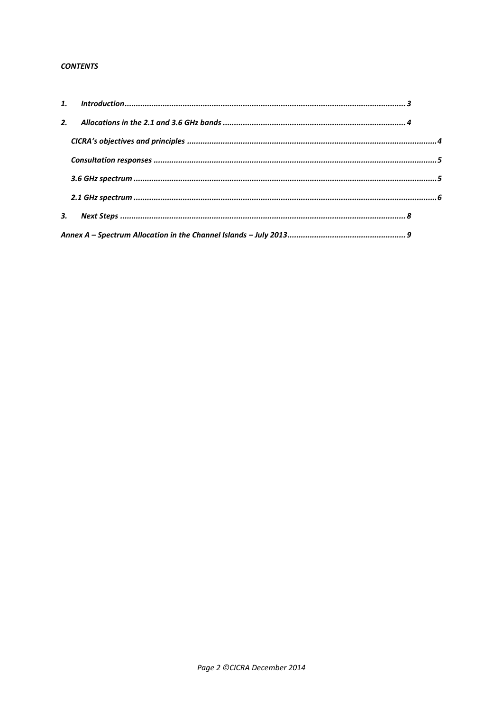#### **CONTENTS**

| 2. |  |
|----|--|
|    |  |
|    |  |
|    |  |
|    |  |
|    |  |
|    |  |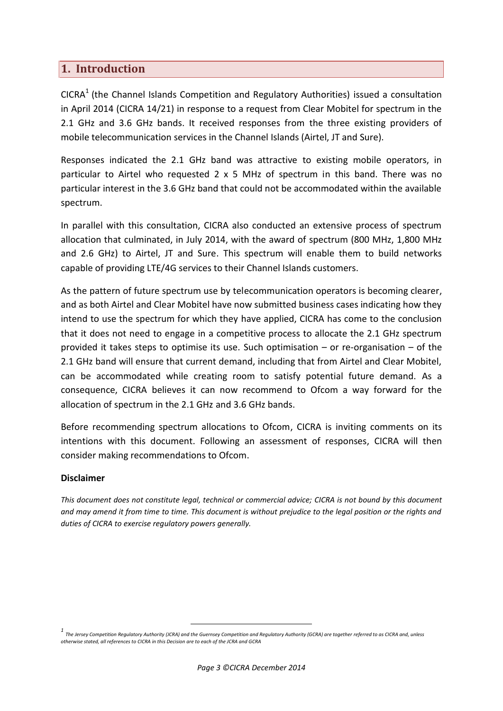## **1. Introduction**

CICRA<sup>1</sup> (the Channel Islands Competition and Regulatory Authorities) issued a consultation in April 2014 (CICRA 14/21) in response to a request from Clear Mobitel for spectrum in the 2.1 GHz and 3.6 GHz bands. It received responses from the three existing providers of mobile telecommunication services in the Channel Islands (Airtel, JT and Sure).

Responses indicated the 2.1 GHz band was attractive to existing mobile operators, in particular to Airtel who requested 2 x 5 MHz of spectrum in this band. There was no particular interest in the 3.6 GHz band that could not be accommodated within the available spectrum.

In parallel with this consultation, CICRA also conducted an extensive process of spectrum allocation that culminated, in July 2014, with the award of spectrum (800 MHz, 1,800 MHz and 2.6 GHz) to Airtel, JT and Sure. This spectrum will enable them to build networks capable of providing LTE/4G services to their Channel Islands customers.

As the pattern of future spectrum use by telecommunication operators is becoming clearer, and as both Airtel and Clear Mobitel have now submitted business cases indicating how they intend to use the spectrum for which they have applied, CICRA has come to the conclusion that it does not need to engage in a competitive process to allocate the 2.1 GHz spectrum provided it takes steps to optimise its use. Such optimisation – or re-organisation – of the 2.1 GHz band will ensure that current demand, including that from Airtel and Clear Mobitel, can be accommodated while creating room to satisfy potential future demand. As a consequence, CICRA believes it can now recommend to Ofcom a way forward for the allocation of spectrum in the 2.1 GHz and 3.6 GHz bands.

Before recommending spectrum allocations to Ofcom, CICRA is inviting comments on its intentions with this document. Following an assessment of responses, CICRA will then consider making recommendations to Ofcom.

## **Disclaimer**

*This document does not constitute legal, technical or commercial advice; CICRA is not bound by this document and may amend it from time to time. This document is without prejudice to the legal position or the rights and duties of CICRA to exercise regulatory powers generally.*

*<sup>1</sup> The Jersey Competition Regulatory Authority (JCRA) and the Guernsey Competition and Regulatory Authority (GCRA) are together referred to as CICRA and, unless otherwise stated, all references to CICRA in this Decision are to each of the JCRA and GCRA*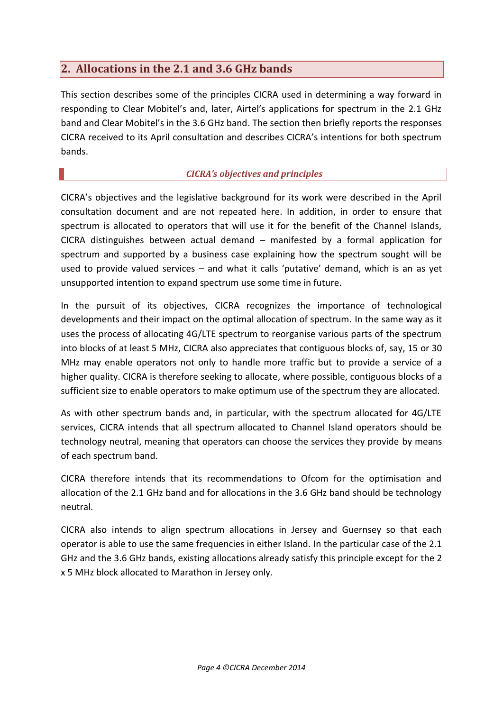# **2. Allocations in the 2.1 and 3.6 GHz bands**

This section describes some of the principles CICRA used in determining a way forward in responding to Clear Mobitel's and, later, Airtel's applications for spectrum in the 2.1 GHz band and Clear Mobitel's in the 3.6 GHz band. The section then briefly reports the responses CICRA received to its April consultation and describes CICRA's intentions for both spectrum bands.

## *CICRA's objectives and principles*

CICRA's objectives and the legislative background for its work were described in the April consultation document and are not repeated here. In addition, in order to ensure that spectrum is allocated to operators that will use it for the benefit of the Channel Islands, CICRA distinguishes between actual demand – manifested by a formal application for spectrum and supported by a business case explaining how the spectrum sought will be used to provide valued services – and what it calls 'putative' demand, which is an as yet unsupported intention to expand spectrum use some time in future.

In the pursuit of its objectives, CICRA recognizes the importance of technological developments and their impact on the optimal allocation of spectrum. In the same way as it uses the process of allocating 4G/LTE spectrum to reorganise various parts of the spectrum into blocks of at least 5 MHz, CICRA also appreciates that contiguous blocks of, say, 15 or 30 MHz may enable operators not only to handle more traffic but to provide a service of a higher quality. CICRA is therefore seeking to allocate, where possible, contiguous blocks of a sufficient size to enable operators to make optimum use of the spectrum they are allocated.

As with other spectrum bands and, in particular, with the spectrum allocated for 4G/LTE services, CICRA intends that all spectrum allocated to Channel Island operators should be technology neutral, meaning that operators can choose the services they provide by means of each spectrum band.

CICRA therefore intends that its recommendations to Ofcom for the optimisation and allocation of the 2.1 GHz band and for allocations in the 3.6 GHz band should be technology neutral.

CICRA also intends to align spectrum allocations in Jersey and Guernsey so that each operator is able to use the same frequencies in either Island. In the particular case of the 2.1 GHz and the 3.6 GHz bands, existing allocations already satisfy this principle except for the 2 x 5 MHz block allocated to Marathon in Jersey only.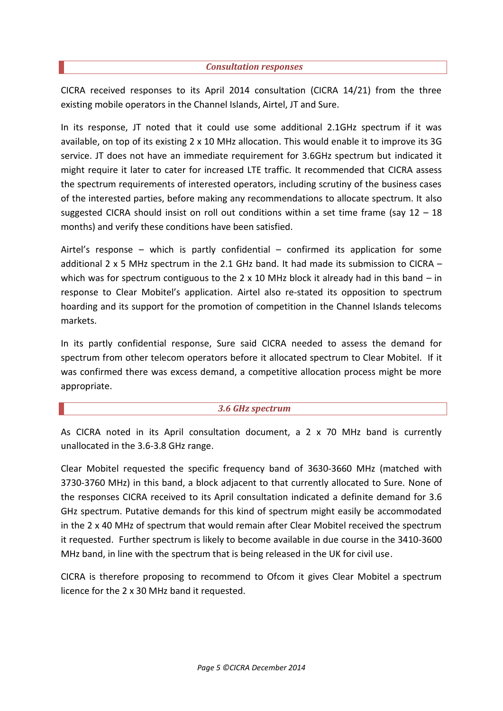#### *Consultation responses*

CICRA received responses to its April 2014 consultation (CICRA 14/21) from the three existing mobile operators in the Channel Islands, Airtel, JT and Sure.

In its response, JT noted that it could use some additional 2.1GHz spectrum if it was available, on top of its existing 2 x 10 MHz allocation. This would enable it to improve its 3G service. JT does not have an immediate requirement for 3.6GHz spectrum but indicated it might require it later to cater for increased LTE traffic. It recommended that CICRA assess the spectrum requirements of interested operators, including scrutiny of the business cases of the interested parties, before making any recommendations to allocate spectrum. It also suggested CICRA should insist on roll out conditions within a set time frame (say  $12 - 18$ ) months) and verify these conditions have been satisfied.

Airtel's response – which is partly confidential – confirmed its application for some additional 2 x 5 MHz spectrum in the 2.1 GHz band. It had made its submission to CICRA – which was for spectrum contiguous to the  $2 \times 10$  MHz block it already had in this band – in response to Clear Mobitel's application. Airtel also re-stated its opposition to spectrum hoarding and its support for the promotion of competition in the Channel Islands telecoms markets.

In its partly confidential response, Sure said CICRA needed to assess the demand for spectrum from other telecom operators before it allocated spectrum to Clear Mobitel. If it was confirmed there was excess demand, a competitive allocation process might be more appropriate.

### *3.6 GHz spectrum*

As CICRA noted in its April consultation document, a 2 x 70 MHz band is currently unallocated in the 3.6-3.8 GHz range.

Clear Mobitel requested the specific frequency band of 3630-3660 MHz (matched with 3730-3760 MHz) in this band, a block adjacent to that currently allocated to Sure. None of the responses CICRA received to its April consultation indicated a definite demand for 3.6 GHz spectrum. Putative demands for this kind of spectrum might easily be accommodated in the 2 x 40 MHz of spectrum that would remain after Clear Mobitel received the spectrum it requested. Further spectrum is likely to become available in due course in the 3410-3600 MHz band, in line with the spectrum that is being released in the UK for civil use.

CICRA is therefore proposing to recommend to Ofcom it gives Clear Mobitel a spectrum licence for the 2 x 30 MHz band it requested.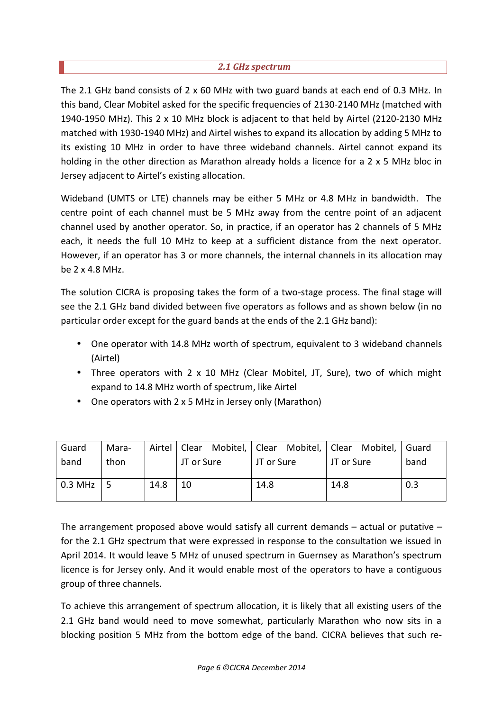### *2.1 GHz spectrum*

The 2.1 GHz band consists of 2 x 60 MHz with two guard bands at each end of 0.3 MHz. In this band, Clear Mobitel asked for the specific frequencies of 2130-2140 MHz (matched with 1940-1950 MHz). This 2 x 10 MHz block is adjacent to that held by Airtel (2120-2130 MHz matched with 1930-1940 MHz) and Airtel wishes to expand its allocation by adding 5 MHz to its existing 10 MHz in order to have three wideband channels. Airtel cannot expand its holding in the other direction as Marathon already holds a licence for a 2 x 5 MHz bloc in Jersey adjacent to Airtel's existing allocation.

Wideband (UMTS or LTE) channels may be either 5 MHz or 4.8 MHz in bandwidth. The centre point of each channel must be 5 MHz away from the centre point of an adjacent channel used by another operator. So, in practice, if an operator has 2 channels of 5 MHz each, it needs the full 10 MHz to keep at a sufficient distance from the next operator. However, if an operator has 3 or more channels, the internal channels in its allocation may be 2 x 4.8 MHz.

The solution CICRA is proposing takes the form of a two-stage process. The final stage will see the 2.1 GHz band divided between five operators as follows and as shown below (in no particular order except for the guard bands at the ends of the 2.1 GHz band):

- One operator with 14.8 MHz worth of spectrum, equivalent to 3 wideband channels (Airtel)
- Three operators with 2 x 10 MHz (Clear Mobitel, JT, Sure), two of which might expand to 14.8 MHz worth of spectrum, like Airtel
- One operators with 2 x 5 MHz in Jersey only (Marathon)

| Guard     | Mara- | Airtel |            | Clear Mobitel, Clear Mobitel, Clear Mobitel, |            | Guard |
|-----------|-------|--------|------------|----------------------------------------------|------------|-------|
| band      | thon  |        | JT or Sure | JT or Sure                                   | JT or Sure | band  |
|           |       |        |            |                                              |            |       |
| $0.3$ MHz |       | 14.8   | 10         | 14.8                                         | 14.8       | 0.3   |
|           |       |        |            |                                              |            |       |

The arrangement proposed above would satisfy all current demands – actual or putative – for the 2.1 GHz spectrum that were expressed in response to the consultation we issued in April 2014. It would leave 5 MHz of unused spectrum in Guernsey as Marathon's spectrum licence is for Jersey only. And it would enable most of the operators to have a contiguous group of three channels.

To achieve this arrangement of spectrum allocation, it is likely that all existing users of the 2.1 GHz band would need to move somewhat, particularly Marathon who now sits in a blocking position 5 MHz from the bottom edge of the band. CICRA believes that such re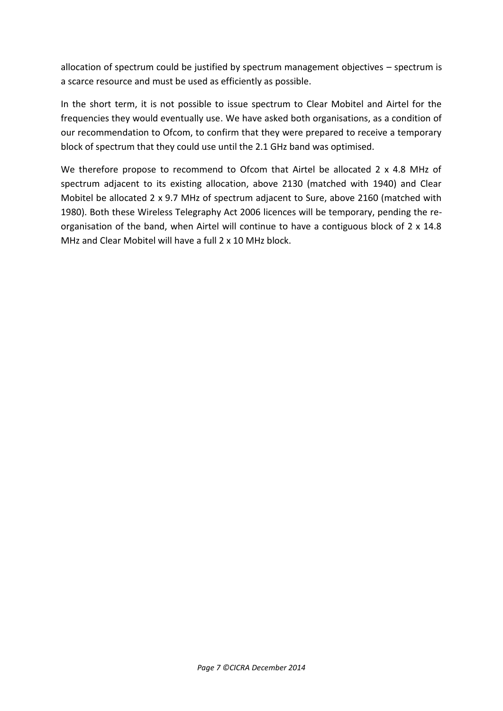allocation of spectrum could be justified by spectrum management objectives – spectrum is a scarce resource and must be used as efficiently as possible.

In the short term, it is not possible to issue spectrum to Clear Mobitel and Airtel for the frequencies they would eventually use. We have asked both organisations, as a condition of our recommendation to Ofcom, to confirm that they were prepared to receive a temporary block of spectrum that they could use until the 2.1 GHz band was optimised.

We therefore propose to recommend to Ofcom that Airtel be allocated 2 x 4.8 MHz of spectrum adjacent to its existing allocation, above 2130 (matched with 1940) and Clear Mobitel be allocated 2 x 9.7 MHz of spectrum adjacent to Sure, above 2160 (matched with 1980). Both these Wireless Telegraphy Act 2006 licences will be temporary, pending the re organisation of the band, when Airtel will continue to have a contiguous block of 2 x 14.8 MHz and Clear Mobitel will have a full 2 x 10 MHz block.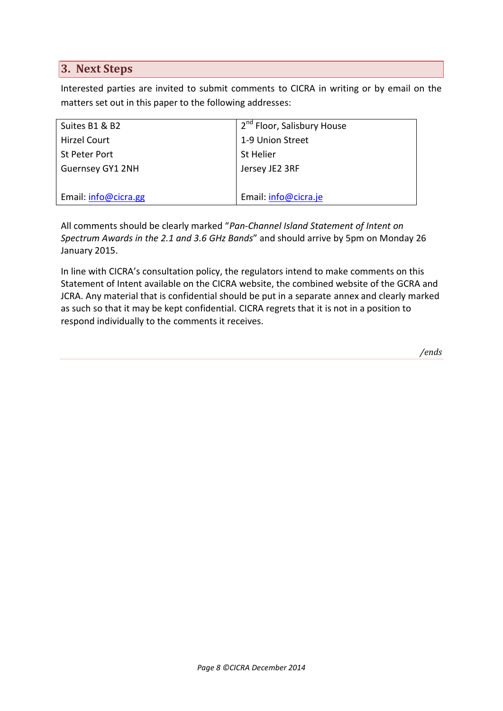## **3. Next Steps**

Interested parties are invited to submit comments to CICRA in writing or by email on the matters set out in this paper to the following addresses:

| Suites B1 & B2       | 2 <sup>nd</sup> Floor, Salisbury House |
|----------------------|----------------------------------------|
| Hirzel Court         | 1-9 Union Street                       |
| St Peter Port        | <b>St Helier</b>                       |
| Guernsey GY1 2NH     | Jersey JE2 3RF                         |
|                      |                                        |
| Email: info@cicra.gg | Email: info@cicra.je                   |

All comments should be clearly marked "*Pan-Channel Island Statement of Intent on Spectrum Awards in the 2.1 and 3.6 GHz Bands*" and should arrive by 5pm on Monday 26 January 2015.

In line with CICRA's consultation policy, the regulators intend to make comments on this Statement of Intent available on the CICRA website, the combined website of the GCRA and JCRA. Any material that is confidential should be put in a separate annex and clearly marked as such so that it may be kept confidential. CICRA regrets that it is not in a position to respond individually to the comments it receives.

*/ends*